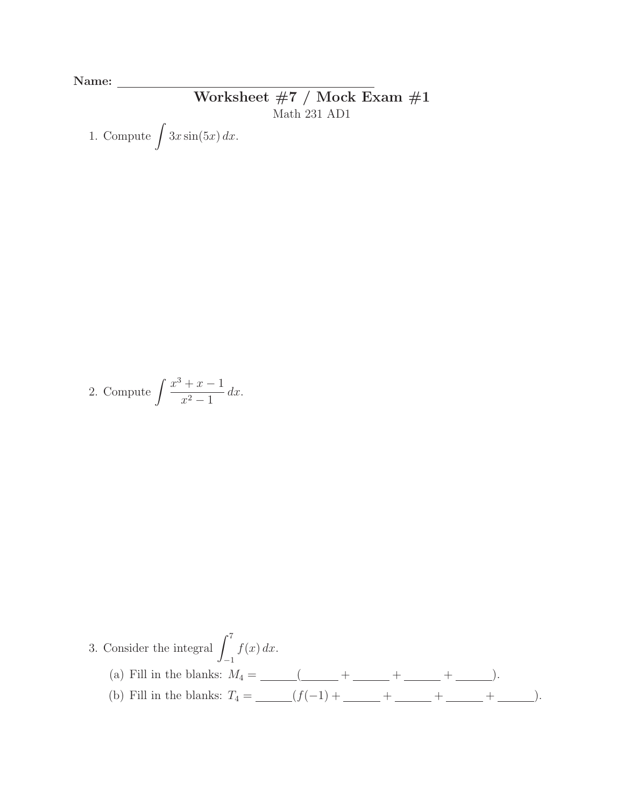Name:

## Worksheet #7 / Mock Exam #1 Math 231 AD1

1. Compute  $\int 3x \sin(5x) dx$ .

2. Compute 
$$
\int \frac{x^3 + x - 1}{x^2 - 1} dx.
$$

3. Consider the integral 
$$
\int_{-1}^{7} f(x) \, dx
$$
.

\n(a) Fill in the blanks:  $M_4 = \underline{\hspace{1cm}} \underline{\hspace{1cm}} \underline{\hspace{1cm}} \underline{\hspace{1cm}} + \underline{\hspace{1cm}} + \underline{\hspace{1cm}} + \underline{\hspace{1cm}} + \underline{\hspace{1cm}} + \underline{\hspace{1cm}} + \underline{\hspace{1cm}} + \underline{\hspace{1cm}} + \underline{\hspace{1cm}} + \underline{\hspace{1cm}} + \underline{\hspace{1cm}} + \underline{\hspace{1cm}} + \underline{\hspace{1cm}} + \underline{\hspace{1cm}} + \underline{\hspace{1cm}} + \underline{\hspace{1cm}} + \underline{\hspace{1cm}} + \underline{\hspace{1cm}} + \underline{\hspace{1cm}} + \underline{\hspace{1cm}} + \underline{\hspace{1cm}} + \underline{\hspace{1cm}} + \underline{\hspace{1cm}} + \underline{\hspace{1cm}} + \underline{\hspace{1cm}} + \underline{\hspace{1cm}} + \underline{\hspace{1cm}} + \underline{\hspace{1cm}} + \underline{\hspace{1cm}} + \underline{\hspace{1cm}} + \underline{\hspace{1cm}} + \underline{\hspace{1cm}} + \underline{\hspace{1cm}} + \underline{\hspace{1cm}} + \underline{\hspace{1cm}} + \underline{\hspace{1cm}} + \underline{\hspace{1cm}} + \underline{\hspace{1cm}} + \underline{\hspace{1cm}} + \underline{\hspace{1cm}} + \underline{\hspace{1cm}} + \underline{\hspace{1cm}} + \underline{\hspace{1cm}} + \underline{\hspace{1cm}} + \underline{\hspace{1cm}} + \underline{\hspace{1cm}} + \underline{\hspace{1cm}} + \underline{\hspace{1cm}} + \underline{\hspace{1cm}} + \underline{\hspace{1cm}} + \underline{\hspace{1cm}} + \underline{\hspace{1cm}} + \underline{\hspace{1cm}} + \underline{\hspace{1cm}} + \underline{\hspace{1cm}} + \underline{\hspace{1cm}} + \underline{\hspace{1cm}} + \underline{\hspace{1cm}} + \underline{\hspace{1cm}} + \underline{\hspace{1cm}} + \underline{\hspace{1cm}} + \underline{\hspace{1cm}} + \underline{\hspace{1cm}} + \underline{\hspace{1cm}} + \underline{\hspace{1cm}} + \underline{\hspace{1cm}} + \underline{\hspace{1cm}} + \underline{\hspace{1cm}} + \underline{\hspace{$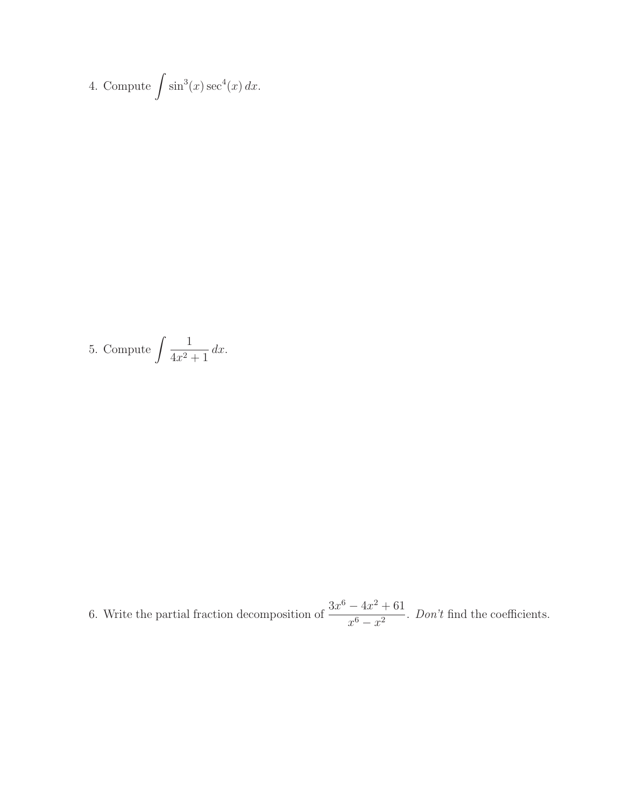4. Compute 
$$
\int \sin^3(x) \sec^4(x) dx
$$
.

5. Compute 
$$
\int \frac{1}{4x^2 + 1} dx.
$$

6. Write the partial fraction decomposition of  $\frac{3x^6 - 4x^2 + 61}{6}$  $\frac{-4x+61}{x^6-x^2}$ . *Don't* find the coefficients.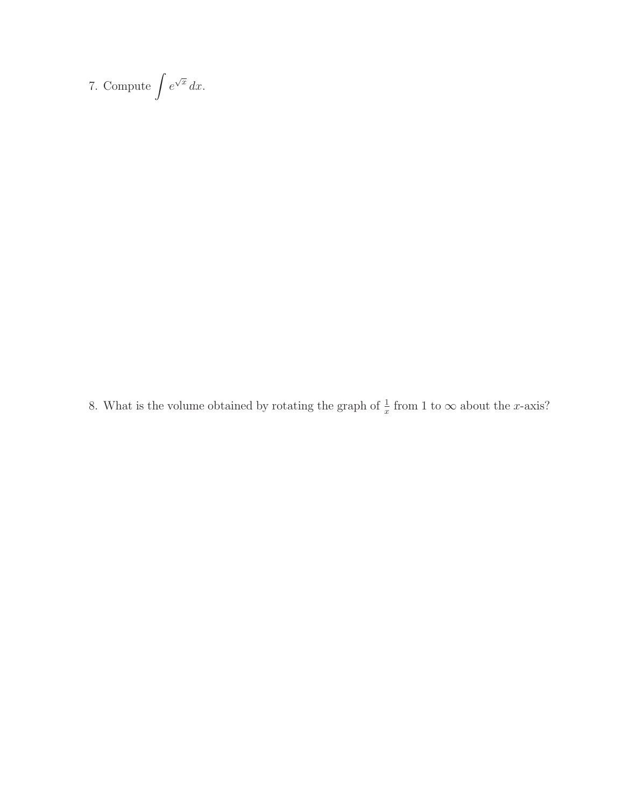7. Compute  $\int e^{\sqrt{x}} dx$ .

8. What is the volume obtained by rotating the graph of  $\frac{1}{x}$  from 1 to  $\infty$  about the *x*-axis?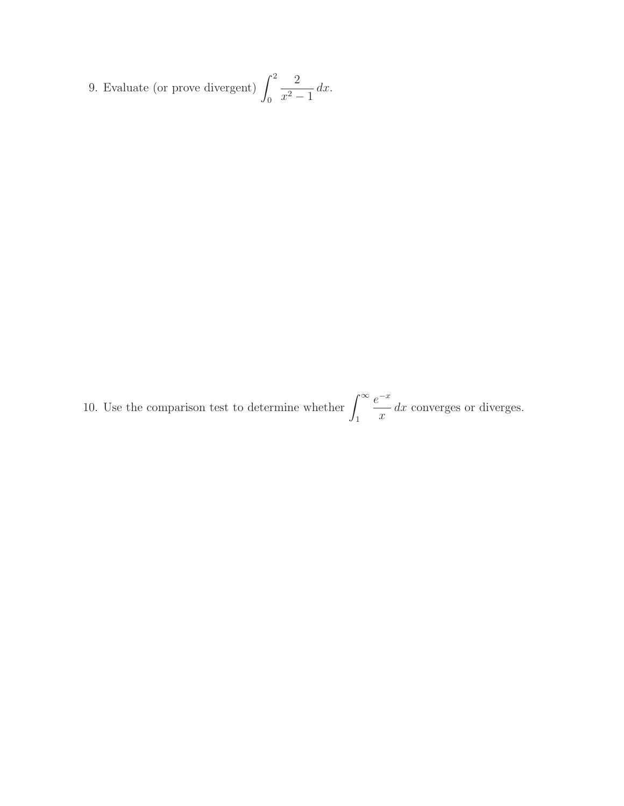9. Evaluate (or prove divergent)  $\int_1^2$  $\theta$ 2  $x^2 - 1$  $dx$ .

10. Use the comparison test to determine whether  $\int_{-\infty}^{\infty}$ 1  $e^{-x}$  $\frac{d}{dx}$  converges or diverges.